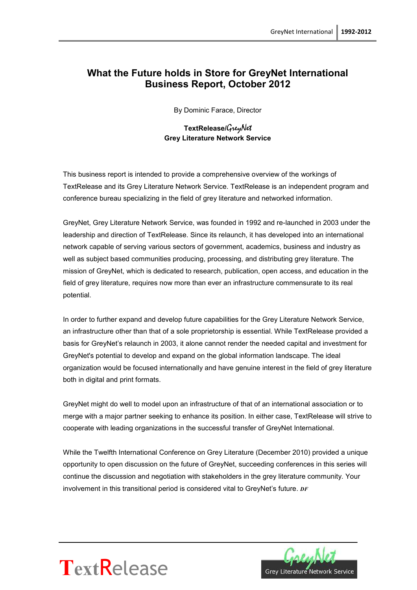# **What the Future holds in Store for GreyNet International Business Report, October 2012**

By Dominic Farace, Director

#### **TextRelease/**GreyNet **Grey Literature Network Service**

This business report is intended to provide a comprehensive overview of the workings of TextRelease and its Grey Literature Network Service. TextRelease is an independent program and conference bureau specializing in the field of grey literature and networked information.

GreyNet, Grey Literature Network Service, was founded in 1992 and re-launched in 2003 under the leadership and direction of TextRelease. Since its relaunch, it has developed into an international network capable of serving various sectors of government, academics, business and industry as well as subject based communities producing, processing, and distributing grey literature. The mission of GreyNet, which is dedicated to research, publication, open access, and education in the field of grey literature, requires now more than ever an infrastructure commensurate to its real potential.

In order to further expand and develop future capabilities for the Grey Literature Network Service, an infrastructure other than that of a sole proprietorship is essential. While TextRelease provided a basis for GreyNet's relaunch in 2003, it alone cannot render the needed capital and investment for GreyNet's potential to develop and expand on the global information landscape. The ideal organization would be focused internationally and have genuine interest in the field of grey literature both in digital and print formats.

GreyNet might do well to model upon an infrastructure of that of an international association or to merge with a major partner seeking to enhance its position. In either case, TextRelease will strive to cooperate with leading organizations in the successful transfer of GreyNet International.

While the Twelfth International Conference on Grey Literature (December 2010) provided a unique opportunity to open discussion on the future of GreyNet, succeeding conferences in this series will continue the discussion and negotiation with stakeholders in the grey literature community. Your involvement in this transitional period is considered vital to GreyNet's future. *DF*



# **Text**Release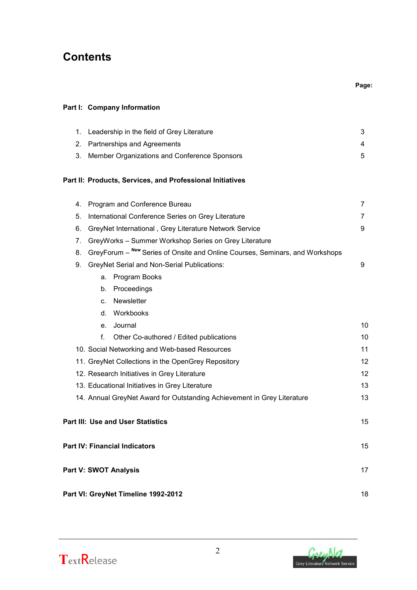# **Contents**

| 1. |         | Leadership in the field of Grey Literature                                   | 3  |
|----|---------|------------------------------------------------------------------------------|----|
| 2. |         | Partnerships and Agreements                                                  | 4  |
| 3. |         | Member Organizations and Conference Sponsors                                 | 5  |
|    |         |                                                                              |    |
|    |         | Part II: Products, Services, and Professional Initiatives                    |    |
| 4. |         | Program and Conference Bureau                                                | 7  |
| 5. |         | International Conference Series on Grey Literature                           | 7  |
| 6. |         | GreyNet International, Grey Literature Network Service                       | 9  |
| 7. |         | GreyWorks - Summer Workshop Series on Grey Literature                        |    |
| 8. |         | GreyForum - New Series of Onsite and Online Courses, Seminars, and Workshops |    |
| 9. |         | <b>GreyNet Serial and Non-Serial Publications:</b>                           | 9  |
|    | a.      | Program Books                                                                |    |
|    | b.      | Proceedings                                                                  |    |
|    | $C_{-}$ | Newsletter                                                                   |    |
|    | d.      | Workbooks                                                                    |    |
|    | e.      | Journal                                                                      | 10 |
|    | f.      | Other Co-authored / Edited publications                                      | 10 |
|    |         | 10. Social Networking and Web-based Resources                                | 11 |
|    |         | 11. GreyNet Collections in the OpenGrey Repository                           | 12 |
|    |         | 12. Research Initiatives in Grey Literature                                  | 12 |
|    |         | 13. Educational Initiatives in Grey Literature                               | 13 |
|    |         | 14. Annual GreyNet Award for Outstanding Achievement in Grey Literature      | 13 |
|    |         | Part III: Use and User Statistics                                            | 15 |
|    |         |                                                                              |    |
|    |         | Part IV: Financial Indicators                                                | 15 |
|    |         | Part V: SWOT Analysis                                                        | 17 |
|    |         |                                                                              |    |
|    |         | Part VI: GreyNet Timeline 1992-2012                                          | 18 |
|    |         |                                                                              |    |

2



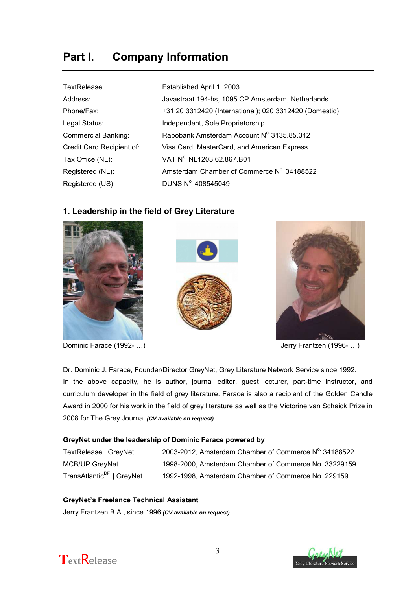# **Part I. Company Information**

| TextRelease               | Established April 1, 2003                              |
|---------------------------|--------------------------------------------------------|
| Address:                  | Javastraat 194-hs, 1095 CP Amsterdam, Netherlands      |
| Phone/Fax:                | +31 20 3312420 (International); 020 3312420 (Domestic) |
| Legal Status:             | Independent, Sole Proprietorship                       |
| Commercial Banking:       | Rabobank Amsterdam Account Nº 3135.85.342              |
| Credit Card Recipient of: | Visa Card, MasterCard, and American Express            |
| Tax Office (NL):          | VAT Nº NL1203.62.867.B01                               |
| Registered (NL):          | Amsterdam Chamber of Commerce N° 34188522              |
| Registered (US):          | DUNS Nº 408545049                                      |

# **1. Leadership in the field of Grey Literature**







Dominic Farace (1992- ...) Cominic Farace (1992- ...)

Dr. Dominic J. Farace, Founder/Director GreyNet, Grey Literature Network Service since 1992. In the above capacity, he is author, journal editor, guest lecturer, part-time instructor, and curriculum developer in the field of grey literature. Farace is also a recipient of the Golden Candle Award in 2000 for his work in the field of grey literature as well as the Victorine van Schaick Prize in 2008 for The Grey Journal *(CV available on request)*

#### **GreyNet under the leadership of Dominic Farace powered by**

| TextRelease   GreyNet                 | 2003-2012, Amsterdam Chamber of Commerce N° 34188522  |
|---------------------------------------|-------------------------------------------------------|
| MCB/UP GreyNet                        | 1998-2000, Amsterdam Chamber of Commerce No. 33229159 |
| TransAtlantic <sup>DF</sup>   GreyNet | 1992-1998, Amsterdam Chamber of Commerce No. 229159   |

#### **GreyNet's Freelance Technical Assistant**

Jerry Frantzen B.A., since 1996 *(CV available on request)*



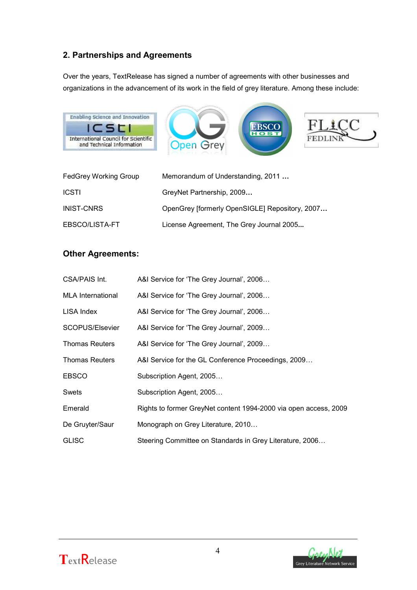# **2. Partnerships and Agreements**

Over the years, TextRelease has signed a number of agreements with other businesses and organizations in the advancement of its work in the field of grey literature. Among these include:



| <b>FedGrey Working Group</b> | Memorandum of Understanding, 2011              |
|------------------------------|------------------------------------------------|
| <b>ICSTI</b>                 | GreyNet Partnership, 2009                      |
| <b>INIST-CNRS</b>            | OpenGrey [formerly OpenSIGLE] Repository, 2007 |
| EBSCO/LISTA-FT               | License Agreement, The Grey Journal 2005       |

# **Other Agreements:**

| <b>CSA/PAIS Int.</b>     | A&I Service for 'The Grey Journal', 2006                         |
|--------------------------|------------------------------------------------------------------|
| <b>MLA</b> International | A&I Service for 'The Grey Journal', 2006                         |
| LISA Index               | A&I Service for 'The Grey Journal', 2006                         |
| SCOPUS/Elsevier          | A&I Service for 'The Grey Journal', 2009                         |
| <b>Thomas Reuters</b>    | A&I Service for 'The Grey Journal', 2009                         |
| <b>Thomas Reuters</b>    | A&I Service for the GL Conference Proceedings, 2009              |
| <b>EBSCO</b>             | Subscription Agent, 2005                                         |
| Swets                    | Subscription Agent, 2005                                         |
| Emerald                  | Rights to former GreyNet content 1994-2000 via open access, 2009 |
| De Gruyter/Saur          | Monograph on Grey Literature, 2010                               |
| <b>GLISC</b>             | Steering Committee on Standards in Grey Literature, 2006         |



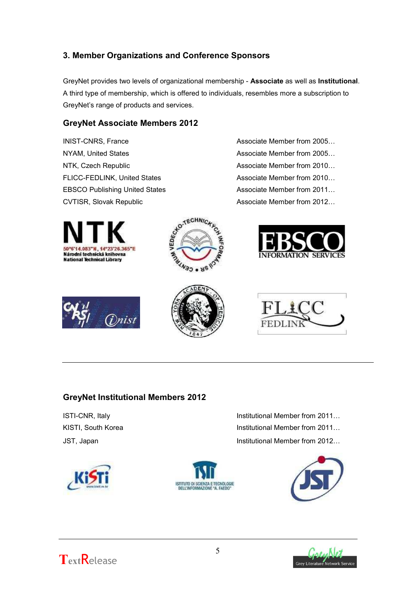# **3. Member Organizations and Conference Sponsors**

GreyNet provides two levels of organizational membership - **Associate** as well as **Institutional**. A third type of membership, which is offered to individuals, resembles more a subscription to GreyNet's range of products and services.

### **GreyNet Associate Members 2012**

INIST-CNRS, France **Associate Member from 2005...** NYAM, United States Associate Member from 2005... NTK, Czech Republic **Associate Member from 2010...** FLICC-FEDLINK, United States Associate Member from 2010... EBSCO Publishing United States Associate Member from 2011...













# **GreyNet Institutional Members 2012**









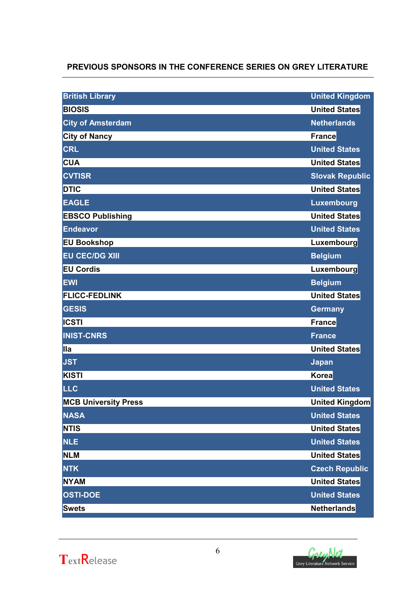# **PREVIOUS SPONSORS IN THE CONFERENCE SERIES ON GREY LITERATURE**

| <b>British Library</b>      | <b>United Kingdom</b>  |
|-----------------------------|------------------------|
| <b>BIOSIS</b>               | <b>United States</b>   |
| <b>City of Amsterdam</b>    | <b>Netherlands</b>     |
| <b>City of Nancy</b>        | France                 |
| <b>CRL</b>                  | <b>United States</b>   |
| <b>CUA</b>                  | <b>United States</b>   |
| <b>CVTISR</b>               | <b>Slovak Republic</b> |
| <b>DTIC</b>                 | <b>United States</b>   |
| <b>EAGLE</b>                | <b>Luxembourg</b>      |
| <b>EBSCO Publishing</b>     | <b>United States</b>   |
| <b>Endeavor</b>             | <b>United States</b>   |
| <b>EU Bookshop</b>          | Luxembourg             |
| <b>EU CEC/DG XIII</b>       | <b>Belgium</b>         |
| <b>EU Cordis</b>            | Luxembourg             |
| <b>EWI</b>                  | <b>Belgium</b>         |
| <b>FLICC-FEDLINK</b>        | <b>United States</b>   |
| <b>GESIS</b>                | <b>Germany</b>         |
| <b>ICSTI</b>                | <b>France</b>          |
| <b>INIST-CNRS</b>           | <b>France</b>          |
|                             |                        |
| llla                        | <b>United States</b>   |
| <b>JST</b>                  | Japan                  |
| KISTI                       | Korea                  |
| <b>LLC</b>                  | <b>United States</b>   |
| <b>MCB University Press</b> | <b>United Kingdom</b>  |
| <b>NASA</b>                 | <b>United States</b>   |
| <b>NTIS</b>                 | <b>United States</b>   |
| <b>NLE</b>                  | <b>United States</b>   |
| <b>NLM</b>                  | <b>United States</b>   |
| <b>NTK</b>                  | <b>Czech Republic</b>  |
| <b>NYAM</b>                 | <b>United States</b>   |
| <b>OSTI-DOE</b>             | <b>United States</b>   |



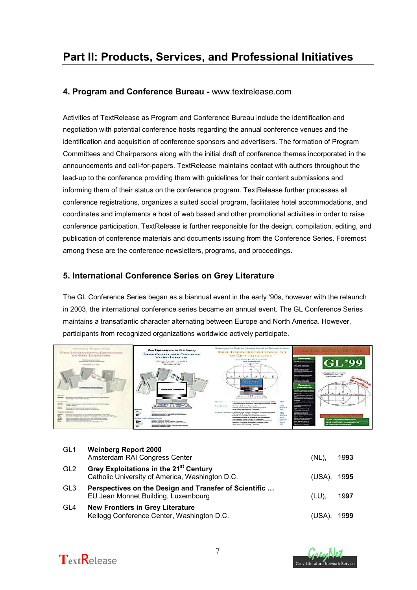# **Part II: Products, Services, and Professional Initiatives**

### **4. Program and Conference Bureau -** www.textrelease.com

Activities of TextRelease as Program and Conference Bureau include the identification and negotiation with potential conference hosts regarding the annual conference venues and the identification and acquisition of conference sponsors and advertisers. The formation of Program Committees and Chairpersons along with the initial draft of conference themes incorporated in the announcements and call-for-papers. TextRelease maintains contact with authors throughout the lead-up to the conference providing them with guidelines for their content submissions and informing them of their status on the conference program. TextRelease further processes all conference registrations, organizes a suited social program, facilitates hotel accommodations, and coordinates and implements a host of web based and other promotional activities in order to raise conference participation. TextRelease is further responsible for the design, compilation, editing, and publication of conference materials and documents issuing from the Conference Series. Foremost among these are the conference newsletters, programs, and proceedings.

# **5. International Conference Series on Grey Literature**

The GL Conference Series began as a biannual event in the early '90s, however with the relaunch in 2003, the international conference series became an annual event. The GL Conference Series maintains a transatlantic character alternating between Europe and North America. However, participants from recognized organizations worldwide actively participate.



| GL <sub>1</sub> | <b>Weinberg Report 2000</b><br>Amsterdam RAI Congress Center                                          | (NL)   | 1993 |
|-----------------|-------------------------------------------------------------------------------------------------------|--------|------|
| GL <sub>2</sub> | Grey Exploitations in the 21 <sup>st</sup> Century<br>Catholic University of America, Washington D.C. | (USA). | 1995 |
| GL <sub>3</sub> | Perspectives on the Design and Transfer of Scientific<br>EU Jean Monnet Building, Luxembourg          | (LU).  | 1997 |
| GL4             | <b>New Frontiers in Grey Literature</b><br>Kellogg Conference Center, Washington D.C.                 | (USA). | 1999 |



7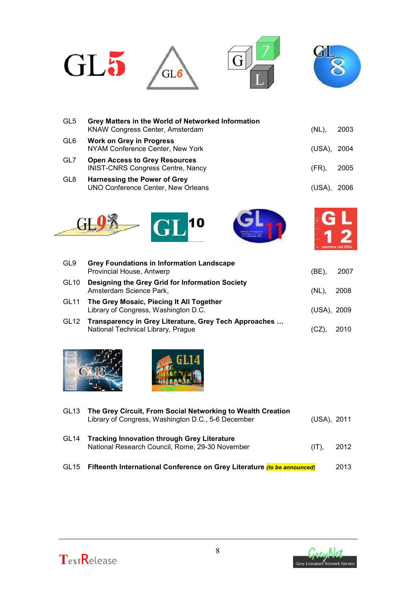

| GL <sub>5</sub> | Grey Matters in the World of Networked Information<br>KNAW Congress Center, Amsterdam | (NL)        | 2003  |
|-----------------|---------------------------------------------------------------------------------------|-------------|-------|
| GL <sub>6</sub> | <b>Work on Grey in Progress</b><br>NYAM Conference Center, New York                   | (USA), 2004 |       |
| GL7             | <b>Open Access to Grey Resources</b><br><b>INIST-CNRS Congress Centre, Nancy</b>      | (FR).       | 2005  |
| GL <sub>8</sub> | <b>Harnessing the Power of Grey</b><br>UNO Conference Center, New Orleans             | (USA)       | 2006. |







| GL9              | <b>Grey Foundations in Information Landscape</b><br>Provincial House, Antwerp               | (BE).         | 2007 |
|------------------|---------------------------------------------------------------------------------------------|---------------|------|
| GL <sub>10</sub> | Designing the Grey Grid for Information Society<br>Amsterdam Science Park,                  | $(NL)$ , 2008 |      |
| GL11             | The Grey Mosaic, Piecing It All Together<br>Library of Congress, Washington D.C.            | (USA), 2009   |      |
| GL12             | Transparency in Grey Literature, Grey Tech Approaches<br>National Technical Library, Prague |               | 2010 |





| GL <sub>13</sub> | The Grey Circuit, From Social Networking to Wealth Creation<br>Library of Congress, Washington D.C., 5-6 December | (USA), 2011 |      |
|------------------|-------------------------------------------------------------------------------------------------------------------|-------------|------|
| GL <sub>14</sub> | <b>Tracking Innovation through Grey Literature</b><br>National Research Council, Rome, 29-30 November             | $(IT)$ .    | 2012 |
| GL <sub>15</sub> | Fifteenth International Conference on Grey Literature (to be announced)                                           |             | 2013 |



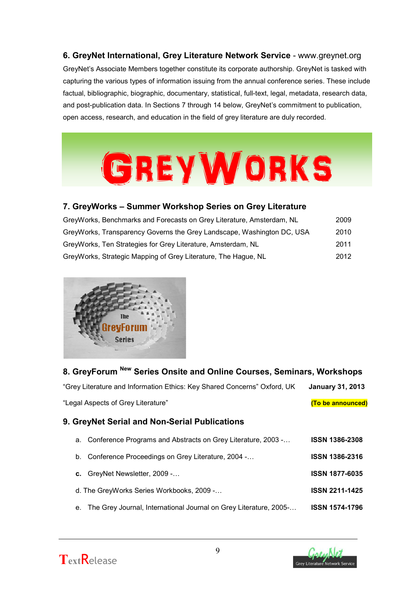**6. GreyNet International, Grey Literature Network Service** - www.greynet.org GreyNet's Associate Members together constitute its corporate authorship. GreyNet is tasked with capturing the various types of information issuing from the annual conference series. These include factual, bibliographic, biographic, documentary, statistical, full-text, legal, metadata, research data, and post-publication data. In Sections 7 through 14 below, GreyNet's commitment to publication, open access, research, and education in the field of grey literature are duly recorded.



# **7. GreyWorks – Summer Workshop Series on Grey Literature**

| GreyWorks, Benchmarks and Forecasts on Grey Literature, Amsterdam, NL  | 2009 |
|------------------------------------------------------------------------|------|
| GreyWorks, Transparency Governs the Grey Landscape, Washington DC, USA | 2010 |
| GreyWorks, Ten Strategies for Grey Literature, Amsterdam, NL           | 2011 |
| GreyWorks, Strategic Mapping of Grey Literature, The Hague, NL         | 2012 |



# **8. GreyForum New Series Onsite and Online Courses, Seminars, Workshops**

| "Grey Literature and Information Ethics: Key Shared Concerns" Oxford, UK | January 31, 2013  |
|--------------------------------------------------------------------------|-------------------|
| "Legal Aspects of Grey Literature"                                       | (To be announced) |

# **9. GreyNet Serial and Non-Serial Publications**

- a. Conference Programs and Abstracts on Grey Literature, 2003 -… **ISSN 1386-2308**
- b. Conference Proceedings on Grey Literature, 2004 -… **ISSN 1386-2316**
- **c.** GreyNet Newsletter, 2009 -… **ISSN 1877-6035**
- d. The GreyWorks Series Workbooks, 2009 -… **ISSN 2211-1425**
- e. The Grey Journal, International Journal on Grey Literature, 2005-… **ISSN 1574-1796**



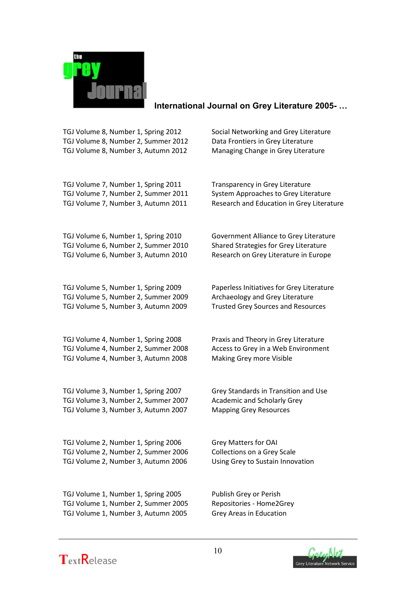

### **International Journal on Grey Literature 2005- …**

TGJ Volume 8, Number 1, Spring 2012 Social Networking and Grey Literature TGJ Volume 8, Number 2, Summer 2012 Data Frontiers in Grey Literature TGJ Volume 8, Number 3, Autumn 2012 Managing Change in Grey Literature

TGJ Volume 7, Number 1, Spring 2011 Transparency in Grey Literature TGJ Volume 7, Number 2, Summer 2011 System Approaches to Grey Literature

TGJ Volume 6, Number 2, Summer 2010 Shared Strategies for Grey Literature TGJ Volume 6, Number 3, Autumn 2010 Research on Grey Literature in Europe

TGJ Volume 5, Number 2, Summer 2009 Archaeology and Grey Literature TGJ Volume 5, Number 3, Autumn 2009 Trusted Grey Sources and Resources

TGJ Volume 4, Number 1, Spring 2008 Praxis and Theory in Grey Literature TGJ Volume 4, Number 2, Summer 2008 Access to Grey in a Web Environment TGJ Volume 4, Number 3, Autumn 2008 Making Grey more Visible

TGJ Volume 3, Number 1, Spring 2007 Grey Standards in Transition and Use TGJ Volume 3, Number 2, Summer 2007 Academic and Scholarly Grey TGJ Volume 3, Number 3, Autumn 2007 Mapping Grey Resources

TGJ Volume 2, Number 1, Spring 2006 Grey Matters for OAI TGJ Volume 2, Number 2, Summer 2006 Collections on a Grey Scale TGJ Volume 2, Number 3, Autumn 2006 Using Grey to Sustain Innovation

TGJ Volume 7, Number 3, Autumn 2011 Research and Education in Grey Literature

TGJ Volume 6, Number 1, Spring 2010 Government Alliance to Grey Literature

TGJ Volume 5, Number 1, Spring 2009 Paperless Initiatives for Grey Literature

TGJ Volume 1, Number 1, Spring 2005 Publish Grey or Perish TGJ Volume 1, Number 2, Summer 2005 Repositories - Home2Grey TGJ Volume 1, Number 3, Autumn 2005 Grey Areas in Education



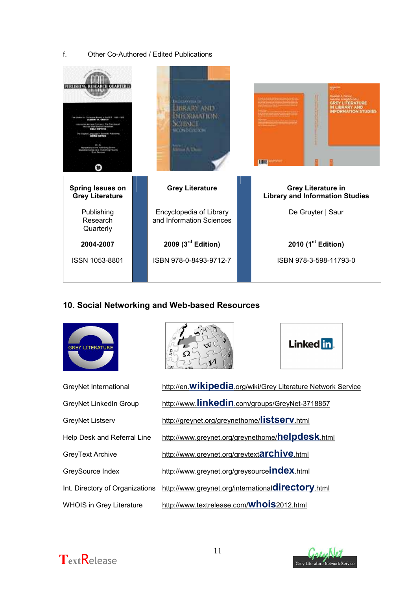#### f. Other Co-Authored / Edited Publications



### **10. Social Networking and Web-based Resources**











Linked in.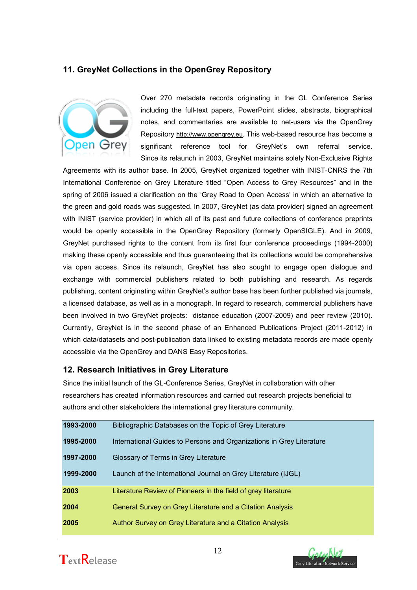# **11. GreyNet Collections in the OpenGrey Repository**



Over 270 metadata records originating in the GL Conference Series including the full-text papers, PowerPoint slides, abstracts, biographical notes, and commentaries are available to net-users via the OpenGrey Repository [http://www.opengrey.eu](http://www.opengrey.eu/). This web-based resource has become a significant reference tool for GreyNet's own referral service. Since its relaunch in 2003, GreyNet maintains solely Non-Exclusive Rights

Agreements with its author base. In 2005, GreyNet organized together with INIST-CNRS the 7th International Conference on Grey Literature titled "Open Access to Grey Resources" and in the spring of 2006 issued a clarification on the 'Grey Road to Open Access' in which an alternative to the green and gold roads was suggested. In 2007, GreyNet (as data provider) signed an agreement with INIST (service provider) in which all of its past and future collections of conference preprints would be openly accessible in the OpenGrey Repository (formerly OpenSIGLE). And in 2009, GreyNet purchased rights to the content from its first four conference proceedings (1994-2000) making these openly accessible and thus guaranteeing that its collections would be comprehensive via open access. Since its relaunch, GreyNet has also sought to engage open dialogue and exchange with commercial publishers related to both publishing and research. As regards publishing, content originating within GreyNet's author base has been further published via journals, a licensed database, as well as in a monograph. In regard to research, commercial publishers have been involved in two GreyNet projects: distance education (2007-2009) and peer review (2010). Currently, GreyNet is in the second phase of an Enhanced Publications Project (2011-2012) in which data/datasets and post-publication data linked to existing metadata records are made openly accessible via the OpenGrey and DANS Easy Repositories.

### **12. Research Initiatives in Grey Literature**

Since the initial launch of the GL-Conference Series, GreyNet in collaboration with other researchers has created information resources and carried out research projects beneficial to authors and other stakeholders the international grey literature community.

| 1993-2000 | Bibliographic Databases on the Topic of Grey Literature              |
|-----------|----------------------------------------------------------------------|
| 1995-2000 | International Guides to Persons and Organizations in Grey Literature |
| 1997-2000 | Glossary of Terms in Grey Literature                                 |
| 1999-2000 | Launch of the International Journal on Grey Literature (IJGL)        |
| 2003      | Literature Review of Pioneers in the field of grey literature        |
| 2004      | General Survey on Grey Literature and a Citation Analysis            |
| 2005      | Author Survey on Grey Literature and a Citation Analysis             |



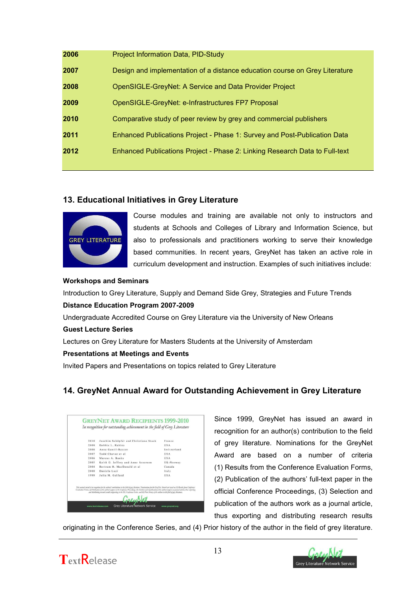| 2006 | <b>Project Information Data, PID-Study</b>                                  |
|------|-----------------------------------------------------------------------------|
| 2007 | Design and implementation of a distance education course on Grey Literature |
| 2008 | OpenSIGLE-GreyNet: A Service and Data Provider Project                      |
| 2009 | OpenSIGLE-GreyNet: e-Infrastructures FP7 Proposal                           |
| 2010 | Comparative study of peer review by grey and commercial publishers          |
| 2011 | Enhanced Publications Project - Phase 1: Survey and Post-Publication Data   |
| 2012 | Enhanced Publications Project - Phase 2: Linking Research Data to Full-text |
|      |                                                                             |

# **13. Educational Initiatives in Grey Literature**



Course modules and training are available not only to instructors and students at Schools and Colleges of Library and Information Science, but also to professionals and practitioners working to serve their knowledge based communities. In recent years, GreyNet has taken an active role in curriculum development and instruction. Examples of such initiatives include:

#### **Workshops and Seminars**

Introduction to Grey Literature, Supply and Demand Side Grey, Strategies and Future Trends

#### **Distance Education Program 2007-2009**

Undergraduate Accredited Course on Grey Literature via the University of New Orleans

#### **Guest Lecture Series**

Lectures on Grey Literature for Masters Students at the University of Amsterdam

#### **Presentations at Meetings and Events**

Invited Papers and Presentations on topics related to Grey Literature

# **14. GreyNet Annual Award for Outstanding Achievement in Grey Literature**

| 2010 | Joachim Schöpfel and Christiane Stock                                                                                                                                                                                                                                                                                                                                                                                                                                                                                 | France      |
|------|-----------------------------------------------------------------------------------------------------------------------------------------------------------------------------------------------------------------------------------------------------------------------------------------------------------------------------------------------------------------------------------------------------------------------------------------------------------------------------------------------------------------------|-------------|
| 2009 | Debbie L. Rabina                                                                                                                                                                                                                                                                                                                                                                                                                                                                                                      | <b>USA</b>  |
| 2008 | Anne Gentil-Beccot                                                                                                                                                                                                                                                                                                                                                                                                                                                                                                    | Switzerland |
| 2007 | Todd Chavez et al.                                                                                                                                                                                                                                                                                                                                                                                                                                                                                                    | <b>USA</b>  |
| 2006 | Marcus A. Banks                                                                                                                                                                                                                                                                                                                                                                                                                                                                                                       | <b>USA</b>  |
| 2005 | Keith G. Jeffery and Anne Asserson                                                                                                                                                                                                                                                                                                                                                                                                                                                                                    | UK-Norway   |
| 2004 | Bertrum H. MacDonald et al.                                                                                                                                                                                                                                                                                                                                                                                                                                                                                           | Canada      |
| 2000 | Daniela Luzi                                                                                                                                                                                                                                                                                                                                                                                                                                                                                                          | Italy       |
| 1999 | Julia M. Gelfand                                                                                                                                                                                                                                                                                                                                                                                                                                                                                                      | <b>USA</b>  |
|      | This annual award is in reagaiting for the authors' outstitutions to the field of grey literature. Nominations for the GreyNet Award are loged on (1) Results from Coulemne<br>Englaction Forms, (2) Palolisation of the authors' papers in the Conference Proceedings, (3) Selection and republication of the authors' papers as journal articles, thus exporting<br>and distribution research ready arispositor in the GL Conference Series, and (4) Prior bistory of the earliers in the field of sery literature, |             |

Since 1999, GreyNet has issued an award in recognition for an author(s) contribution to the field of grey literature. Nominations for the GreyNet Award are based on a number of criteria (1) Results from the Conference Evaluation Forms, (2) Publication of the authors' full-text paper in the official Conference Proceedings, (3) Selection and publication of the authors work as a journal article, thus exporting and distributing research results

originating in the Conference Series, and (4) Prior history of the author in the field of grey literature.



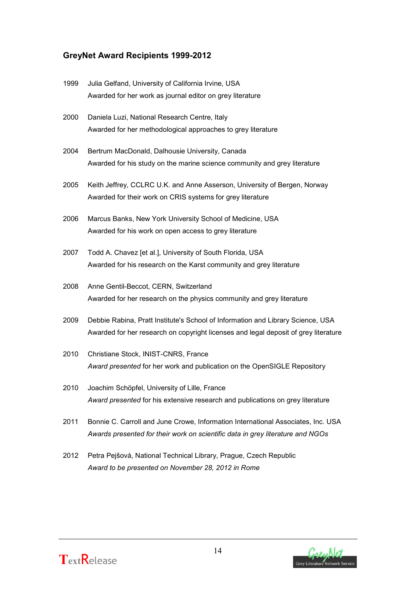# **GreyNet Award Recipients 1999-2012**

| 1999 | Julia Gelfand, University of California Irvine, USA                                 |
|------|-------------------------------------------------------------------------------------|
|      | Awarded for her work as journal editor on grey literature                           |
| 2000 | Daniela Luzi, National Research Centre, Italy                                       |
|      | Awarded for her methodological approaches to grey literature                        |
| 2004 | Bertrum MacDonald, Dalhousie University, Canada                                     |
|      | Awarded for his study on the marine science community and grey literature           |
| 2005 | Keith Jeffrey, CCLRC U.K. and Anne Asserson, University of Bergen, Norway           |
|      | Awarded for their work on CRIS systems for grey literature                          |
| 2006 | Marcus Banks, New York University School of Medicine, USA                           |
|      | Awarded for his work on open access to grey literature                              |
| 2007 | Todd A. Chavez [et al.], University of South Florida, USA                           |
|      | Awarded for his research on the Karst community and grey literature                 |
| 2008 | Anne Gentil-Beccot, CERN, Switzerland                                               |
|      | Awarded for her research on the physics community and grey literature               |
| 2009 | Debbie Rabina, Pratt Institute's School of Information and Library Science, USA     |
|      | Awarded for her research on copyright licenses and legal deposit of grey literature |
| 2010 | Christiane Stock, INIST-CNRS, France                                                |
|      | Award presented for her work and publication on the OpenSIGLE Repository            |
| 2010 | Joachim Schöpfel, University of Lille, France                                       |
|      | Award presented for his extensive research and publications on grey literature      |
| 2011 | Bonnie C. Carroll and June Crowe, Information International Associates, Inc. USA    |
|      | Awards presented for their work on scientific data in grey literature and NGOs      |

2012 Petra Pejšová, National Technical Library, Prague, Czech Republic *Award to be presented on November 28, 2012 in Rome*



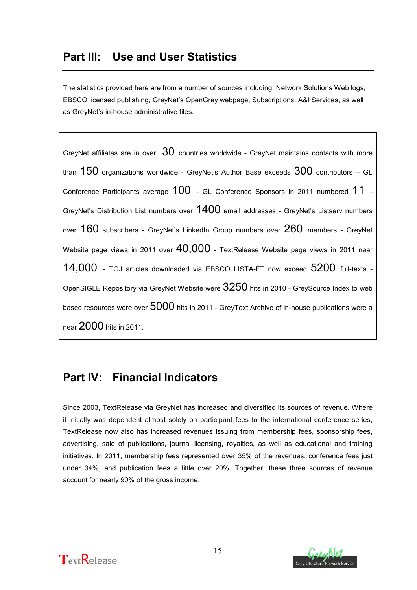# **Part III: Use and User Statistics**

The statistics provided here are from a number of sources including: Network Solutions Web logs, EBSCO licensed publishing, GreyNet's OpenGrey webpage, Subscriptions, A&I Services, as well as GreyNet's in-house administrative files.

GreyNet affiliates are in over  $30$  countries worldwide - GreyNet maintains contacts with more than  $150$  organizations worldwide - GreyNet's Author Base exceeds  $300$  contributors – GL Conference Participants average 100 - GL Conference Sponsors in 2011 numbered 11 - GreyNet's Distribution List numbers over 1400 email addresses - GreyNet's Listserv numbers over 160 subscribers - GreyNet's LinkedIn Group numbers over 260 members - GreyNet Website page views in 2011 over  $40,000$  - TextRelease Website page views in 2011 near 14,000 - TGJ articles downloaded via EBSCO LISTA-FT now exceed 5200 full-texts -OpenSIGLE Repository via GreyNet Website were  $3250$  hits in 2010 - GreySource Index to web based resources were over 5000 hits in 2011 - GreyText Archive of in-house publications were a near 2000 hits in 2011.

# **Part IV: Financial Indicators**

Since 2003, TextRelease via GreyNet has increased and diversified its sources of revenue. Where it initially was dependent almost solely on participant fees to the international conference series, TextRelease now also has increased revenues issuing from membership fees, sponsorship fees, advertising, sale of publications, journal licensing, royalties, as well as educational and training initiatives. In 2011, membership fees represented over 35% of the revenues, conference fees just under 34%, and publication fees a little over 20%. Together, these three sources of revenue account for nearly 90% of the gross income.



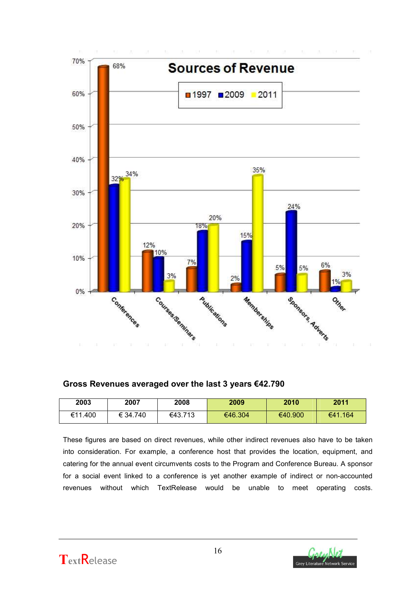

**Gross Revenues averaged over the last 3 years €42.790**

| 2003    | 2007     | 2008    | 2009    | 2010    | 2011    |
|---------|----------|---------|---------|---------|---------|
| €11.400 | € 34.740 | €43.713 | €46.304 | €40.900 | €41.164 |

These figures are based on direct revenues, while other indirect revenues also have to be taken into consideration. For example, a conference host that provides the location, equipment, and catering for the annual event circumvents costs to the Program and Conference Bureau. A sponsor for a social event linked to a conference is yet another example of indirect or non-accounted revenues without which TextRelease would be unable to meet operating costs.



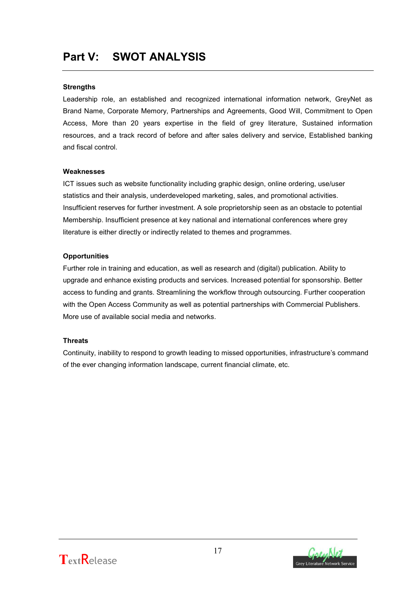# **Part V: SWOT ANALYSIS**

#### **Strengths**

Leadership role, an established and recognized international information network, GreyNet as Brand Name, Corporate Memory, Partnerships and Agreements, Good Will, Commitment to Open Access, More than 20 years expertise in the field of grey literature, Sustained information resources, and a track record of before and after sales delivery and service, Established banking and fiscal control.

#### **Weaknesses**

ICT issues such as website functionality including graphic design, online ordering, use/user statistics and their analysis, underdeveloped marketing, sales, and promotional activities. Insufficient reserves for further investment. A sole proprietorship seen as an obstacle to potential Membership. Insufficient presence at key national and international conferences where grey literature is either directly or indirectly related to themes and programmes.

#### **Opportunities**

Further role in training and education, as well as research and (digital) publication. Ability to upgrade and enhance existing products and services. Increased potential for sponsorship. Better access to funding and grants. Streamlining the workflow through outsourcing. Further cooperation with the Open Access Community as well as potential partnerships with Commercial Publishers. More use of available social media and networks.

#### **Threats**

Continuity, inability to respond to growth leading to missed opportunities, infrastructure's command of the ever changing information landscape, current financial climate, etc.